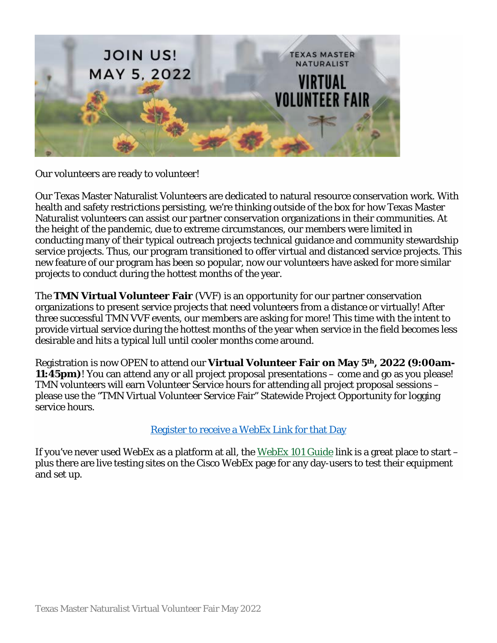

Our volunteers are ready to volunteer!

Our Texas Master Naturalist Volunteers are dedicated to natural resource conservation work. With health and safety restrictions persisting, we're thinking outside of the box for how Texas Master Naturalist volunteers can assist our partner conservation organizations in their communities. At the height of the pandemic, due to extreme circumstances, our members were limited in conducting many of their typical outreach projects technical guidance and community stewardship service projects. Thus, our program transitioned to offer virtual and distanced service projects. This new feature of our program has been so popular, now our volunteers have asked for more similar projects to conduct during the hottest months of the year.

The **TMN Virtual Volunteer Fair** (VVF) is an opportunity for our partner conservation organizations to present service projects that need volunteers from a distance or virtually! After three successful TMN VVF events, our members are asking for more! This time with the intent to provide virtual service during the hottest months of the year when service in the field becomes less desirable and hits a typical lull until cooler months come around.

Registration is now OPEN to attend our **Virtual Volunteer Fair on May 5th, 2022 (9:00am-11:45pm)**! You can attend any or all project proposal presentations – come and go as you please! TMN volunteers will earn Volunteer Service hours for attending all project proposal sessions – please use the "TMN Virtual Volunteer Service Fair" Statewide Project Opportunity for logging service hours.

#### [Register to receive a WebEx Link for that](https://tpwdevents3000.webex.com/tpwdevents3000/j.php?RGID=r1fa5fb14daa7214131db189aff7f5e4f) Day

If you've never used WebEx as a platform at all, the [WebEx 101 Guide](https://txmn.tamu.edu/wp-content/uploads/2021/01/Virtual-Resources-WebEx-101.pdf) link is a great place to start – plus there are live testing sites on the Cisco WebEx page for any day-users to test their equipment and set up.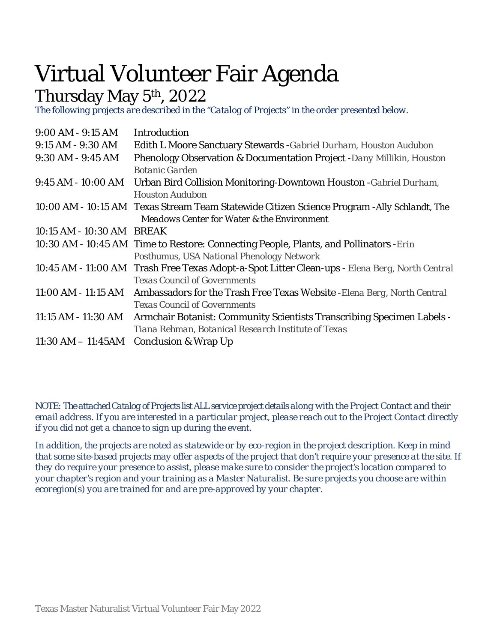## Virtual Volunteer Fair Agenda

### Thursday May 5th, 2022

*The following projects are described in the "Catalog of Projects" in the order presented below.*

| Introduction                                                                                   |
|------------------------------------------------------------------------------------------------|
| Edith L Moore Sanctuary Stewards - Gabriel Durham, Houston Audubon                             |
| Phenology Observation & Documentation Project -Dany Millikin, Houston                          |
| <b>Botanic Garden</b>                                                                          |
| Urban Bird Collision Monitoring-Downtown Houston - Gabriel Durham,                             |
| <b>Houston Audubon</b>                                                                         |
| 10:00 AM - 10:15 AM Texas Stream Team Statewide Citizen Science Program - Ally Schlandt, The   |
| <b>Meadows Center for Water &amp; the Environment</b>                                          |
| 10:15 AM - 10:30 AM BREAK                                                                      |
| 10:30 AM - 10:45 AM Time to Restore: Connecting People, Plants, and Pollinators - Erin         |
| Posthumus, USA National Phenology Network                                                      |
| 10:45 AM - 11:00 AM Trash Free Texas Adopt-a-Spot Litter Clean-ups - Elena Berg, North Central |
| <b>Texas Council of Governments</b>                                                            |
| Ambassadors for the Trash Free Texas Website - Elena Berg, North Central                       |
| <b>Texas Council of Governments</b>                                                            |
| Armchair Botanist: Community Scientists Transcribing Specimen Labels -                         |
| Tiana Rehman, Botanical Research Institute of Texas                                            |
| $11:30$ AM $-11:45$ AM<br><b>Conclusion &amp; Wrap Up</b>                                      |
|                                                                                                |

*NOTE: The attached Catalog of Projects list ALLservice project details along with the Project Contact and their email address. If you are interested in a particular project, please reach out to the Project Contact directly if you did not get a chance to sign up during the event.* 

*In addition, the projects are noted as statewide or by eco-region in the project description. Keep in mind that some site-based projects may offer aspects of the project that don't require your presence at the site. If they do require your presence to assist, please make sure to consider the project's location compared to your chapter's region and your training as a Master Naturalist. Be sure projects you choose are within ecoregion(s) you are trained for and are pre-approved by your chapter.*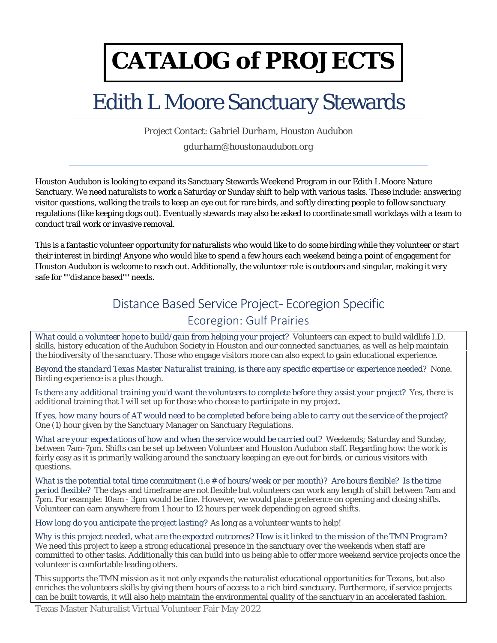# **CATALOG of PROJECTS**

### Edith L Moore Sanctuary Stewards

Project Contact: *Gabriel Durham*, *Houston Audubon gdurham@houstonaudubon.org*

Houston Audubon is looking to expand its Sanctuary Stewards Weekend Program in our Edith L Moore Nature Sanctuary. We need naturalists to work a Saturday or Sunday shift to help with various tasks. These include: answering visitor questions, walking the trails to keep an eye out for rare birds, and softly directing people to follow sanctuary regulations (like keeping dogs out). Eventually stewards may also be asked to coordinate small workdays with a team to conduct trail work or invasive removal.

This is a fantastic volunteer opportunity for naturalists who would like to do some birding while they volunteer or start their interest in birding! Anyone who would like to spend a few hours each weekend being a point of engagement for Houston Audubon is welcome to reach out. Additionally, the volunteer role is outdoors and singular, making it very safe for ""distance based"" needs.

### Distance Based Service Project - Ecoregion Specific

#### Ecoregion: Gulf Prairies

*What could a volunteer hope to build/gain from helping your project?* Volunteers can expect to build wildlife I.D. skills, history education of the Audubon Society in Houston and our connected sanctuaries, as well as help maintain the biodiversity of the sanctuary. Those who engage visitors more can also expect to gain educational experience.

*Beyond the standard Texas Master Naturalist training, is there any specific expertise or experience needed?* None. Birding experience is a plus though.

*Is there any additional training you'd want the volunteers to complete before they assist your project?* Yes, there is additional training that I will set up for those who choose to participate in my project.

*If yes, how many hours of AT would need to be completed before being able to carry out the service of the project?* One (1) hour given by the Sanctuary Manager on Sanctuary Regulations.

*What are your expectations of how and when the service would be carried out?* Weekends; Saturday and Sunday, between 7am-7pm. Shifts can be set up between Volunteer and Houston Audubon staff. Regarding how: the work is fairly easy as it is primarily walking around the sanctuary keeping an eye out for birds, or curious visitors with questions.

*What is the potential total time commitment (i.e # of hours/week or per month)? Are hours flexible? Is the time period flexible?* The days and timeframe are not flexible but volunteers can work any length of shift between 7am and 7pm. For example: 10am - 3pm would be fine. However, we would place preference on opening and closing shifts. Volunteer can earn anywhere from 1 hour to 12 hours per week depending on agreed shifts.

*How long do you anticipate the project lasting?* As long as a volunteer wants to help!

*Why is this project needed, what are the expected outcomes? How is it linked to the mission of the TMN Program?*  We need this project to keep a strong educational presence in the sanctuary over the weekends when staff are committed to other tasks. Additionally this can build into us being able to offer more weekend service projects once the volunteer is comfortable leading others.

This supports the TMN mission as it not only expands the naturalist educational opportunities for Texans, but also enriches the volunteers skills by giving them hours of access to a rich bird sanctuary. Furthermore, if service projects can be built towards, it will also help maintain the environmental quality of the sanctuary in an accelerated fashion.

Texas Master Naturalist Virtual Volunteer Fair May 2022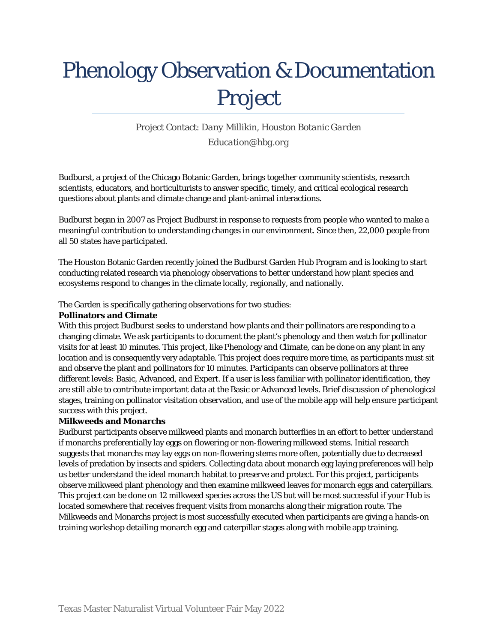## Phenology Observation & Documentation Project

Project Contact: *Dany Millikin*, *Houston Botanic Garden Education@hbg.org*

Budburst, a project of the Chicago Botanic Garden, brings together community scientists, research scientists, educators, and horticulturists to answer specific, timely, and critical ecological research questions about plants and climate change and plant-animal interactions.

Budburst began in 2007 as Project Budburst in response to requests from people who wanted to make a meaningful contribution to understanding changes in our environment. Since then, 22,000 people from all 50 states have participated.

The Houston Botanic Garden recently joined the Budburst Garden Hub Program and is looking to start conducting related research via phenology observations to better understand how plant species and ecosystems respond to changes in the climate locally, regionally, and nationally.

The Garden is specifically gathering observations for two studies:

#### **Pollinators and Climate**

With this project Budburst seeks to understand how plants and their pollinators are responding to a changing climate. We ask participants to document the plant's phenology and then watch for pollinator visits for at least 10 minutes. This project, like Phenology and Climate, can be done on any plant in any location and is consequently very adaptable. This project does require more time, as participants must sit and observe the plant and pollinators for 10 minutes. Participants can observe pollinators at three different levels: Basic, Advanced, and Expert. If a user is less familiar with pollinator identification, they are still able to contribute important data at the Basic or Advanced levels. Brief discussion of phenological stages, training on pollinator visitation observation, and use of the mobile app will help ensure participant success with this project.

#### **Milkweeds and Monarchs**

Budburst participants observe milkweed plants and monarch butterflies in an effort to better understand if monarchs preferentially lay eggs on flowering or non-flowering milkweed stems. Initial research suggests that monarchs may lay eggs on non-flowering stems more often, potentially due to decreased levels of predation by insects and spiders. Collecting data about monarch egg laying preferences will help us better understand the ideal monarch habitat to preserve and protect. For this project, participants observe milkweed plant phenology and then examine milkweed leaves for monarch eggs and caterpillars. This project can be done on 12 milkweed species across the US but will be most successful if your Hub is located somewhere that receives frequent visits from monarchs along their migration route. The Milkweeds and Monarchs project is most successfully executed when participants are giving a hands-on training workshop detailing monarch egg and caterpillar stages along with mobile app training.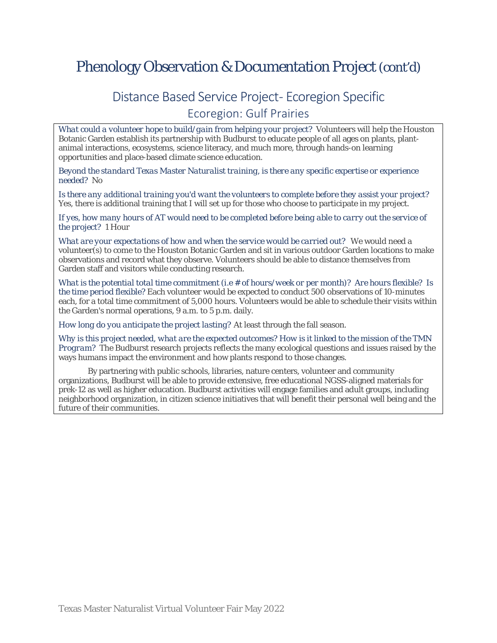### Phenology Observation & Documentation Project (cont'd)

### Distance Based Service Project- Ecoregion Specific Ecoregion: Gulf Prairies

*What could a volunteer hope to build/gain from helping your project?* Volunteers will help the Houston Botanic Garden establish its partnership with Budburst to educate people of all ages on plants, plantanimal interactions, ecosystems, science literacy, and much more, through hands-on learning opportunities and place-based climate science education.

*Beyond the standard Texas Master Naturalist training, is there any specific expertise or experience needed?* No

*Is there any additional training you'd want the volunteers to complete before they assist your project?* Yes, there is additional training that I will set up for those who choose to participate in my project.

*If yes, how many hours of AT would need to be completed before being able to carry out the service of the project?* 1 Hour

*What are your expectations of how and when the service would be carried out?* We would need a volunteer(s) to come to the Houston Botanic Garden and sit in various outdoor Garden locations to make observations and record what they observe. Volunteers should be able to distance themselves from Garden staff and visitors while conducting research.

*What is the potential total time commitment (i.e # of hours/week or per month)? Are hours flexible? Is the time period flexible?* Each volunteer would be expected to conduct 500 observations of 10-minutes each, for a total time commitment of 5,000 hours. Volunteers would be able to schedule their visits within the Garden's normal operations, 9 a.m. to 5 p.m. daily.

*How long do you anticipate the project lasting?* At least through the fall season.

*Why is this project needed, what are the expected outcomes? How is it linked to the mission of the TMN Program?* The Budburst research projects reflects the many ecological questions and issues raised by the ways humans impact the environment and how plants respond to those changes.

By partnering with public schools, libraries, nature centers, volunteer and community organizations, Budburst will be able to provide extensive, free educational NGSS-aligned materials for prek-12 as well as higher education. Budburst activities will engage families and adult groups, including neighborhood organization, in citizen science initiatives that will benefit their personal well being and the future of their communities.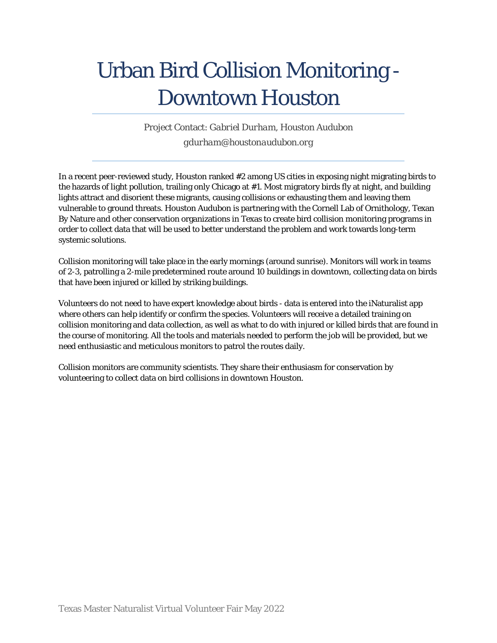## Urban Bird Collision Monitoring - Downtown Houston

Project Contact: *Gabriel Durham*, *Houston Audubon gdurham@houstonaudubon.org*

In a recent peer-reviewed study, Houston ranked #2 among US cities in exposing night migrating birds to the hazards of light pollution, trailing only Chicago at #1. Most migratory birds fly at night, and building lights attract and disorient these migrants, causing collisions or exhausting them and leaving them vulnerable to ground threats. Houston Audubon is partnering with the Cornell Lab of Ornithology, Texan By Nature and other conservation organizations in Texas to create bird collision monitoring programs in order to collect data that will be used to better understand the problem and work towards long-term systemic solutions.

Collision monitoring will take place in the early mornings (around sunrise). Monitors will work in teams of 2-3, patrolling a 2-mile predetermined route around 10 buildings in downtown, collecting data on birds that have been injured or killed by striking buildings.

Volunteers do not need to have expert knowledge about birds - data is entered into the iNaturalist app where others can help identify or confirm the species. Volunteers will receive a detailed training on collision monitoring and data collection, as well as what to do with injured or killed birds that are found in the course of monitoring. All the tools and materials needed to perform the job will be provided, but we need enthusiastic and meticulous monitors to patrol the routes daily.

Collision monitors are community scientists. They share their enthusiasm for conservation by volunteering to collect data on bird collisions in downtown Houston.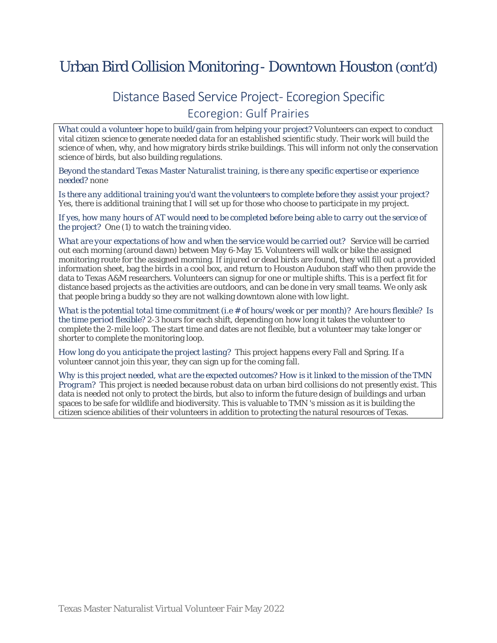### Urban Bird Collision Monitoring - Downtown Houston (cont'd)

### Distance Based Service Project - Ecoregion Specific Ecoregion: Gulf Prairies

*What could a volunteer hope to build/gain from helping your project?* Volunteers can expect to conduct vital citizen science to generate needed data for an established scientific study. Their work will build the science of when, why, and how migratory birds strike buildings. This will inform not only the conservation science of birds, but also building regulations.

*Beyond the standard Texas Master Naturalist training, is there any specific expertise or experience needed?* none

*Is there any additional training you'd want the volunteers to complete before they assist your project?* Yes, there is additional training that I will set up for those who choose to participate in my project.

*If yes, how many hours of AT would need to be completed before being able to carry out the service of the project?* One (1) to watch the training video.

*What are your expectations of how and when the service would be carried out?* Service will be carried out each morning (around dawn) between May 6-May 15. Volunteers will walk or bike the assigned monitoring route for the assigned morning. If injured or dead birds are found, they will fill out a provided information sheet, bag the birds in a cool box, and return to Houston Audubon staff who then provide the data to Texas A&M researchers. Volunteers can signup for one or multiple shifts. This is a perfect fit for distance based projects as the activities are outdoors, and can be done in very small teams. We only ask that people bring a buddy so they are not walking downtown alone with low light.

*What is the potential total time commitment (i.e # of hours/week or per month)? Are hours flexible? Is the time period flexible?* 2-3 hours for each shift, depending on how long it takes the volunteer to complete the 2-mile loop. The start time and dates are not flexible, but a volunteer may take longer or shorter to complete the monitoring loop.

*How long do you anticipate the project lasting?* This project happens every Fall and Spring. If a volunteer cannot join this year, they can sign up for the coming fall.

*Why is this project needed, what are the expected outcomes? How is it linked to the mission of the TMN Program?* This project is needed because robust data on urban bird collisions do not presently exist. This data is needed not only to protect the birds, but also to inform the future design of buildings and urban spaces to be safe for wildlife and biodiversity. This is valuable to TMN 's mission as it is building the citizen science abilities of their volunteers in addition to protecting the natural resources of Texas.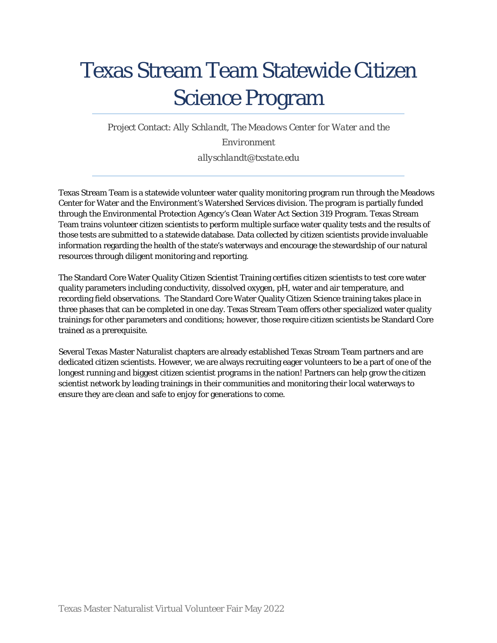## Texas Stream Team Statewide Citizen Science Program

Project Contact: *Ally Schlandt*, *The Meadows Center for Water and the* 

#### *Environment*

*allyschlandt@txstate.edu*

Texas Stream Team is a statewide volunteer water quality monitoring program run through the Meadows Center for Water and the Environment's Watershed Services division. The program is partially funded through the Environmental Protection Agency's Clean Water Act Section 319 Program. Texas Stream Team trains volunteer citizen scientists to perform multiple surface water quality tests and the results of those tests are submitted to a statewide database. Data collected by citizen scientists provide invaluable information regarding the health of the state's waterways and encourage the stewardship of our natural resources through diligent monitoring and reporting.

The Standard Core Water Quality Citizen Scientist Training certifies citizen scientists to test core water quality parameters including conductivity, dissolved oxygen, pH, water and air temperature, and recording field observations. The Standard Core Water Quality Citizen Science training takes place in three phases that can be completed in one day. Texas Stream Team offers other specialized water quality trainings for other parameters and conditions; however, those require citizen scientists be Standard Core trained as a prerequisite.

Several Texas Master Naturalist chapters are already established Texas Stream Team partners and are dedicated citizen scientists. However, we are always recruiting eager volunteers to be a part of one of the longest running and biggest citizen scientist programs in the nation! Partners can help grow the citizen scientist network by leading trainings in their communities and monitoring their local waterways to ensure they are clean and safe to enjoy for generations to come.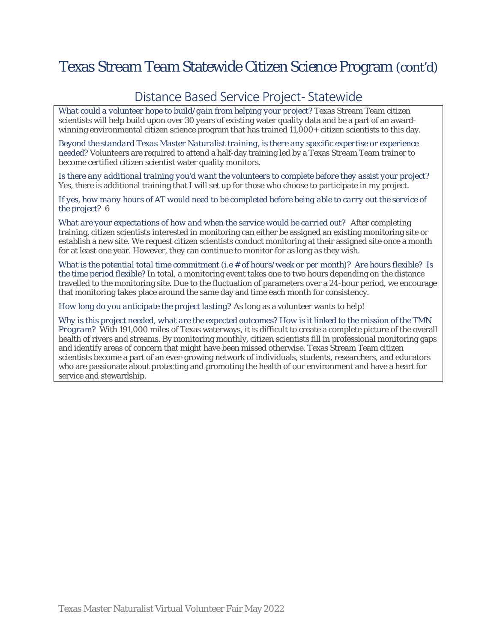### Texas Stream Team Statewide Citizen Science Program (cont'd)

#### Distance Based Service Project-Statewide

*What could a volunteer hope to build/gain from helping your project?* Texas Stream Team citizen scientists will help build upon over 30 years of existing water quality data and be a part of an awardwinning environmental citizen science program that has trained 11,000+ citizen scientists to this day.

*Beyond the standard Texas Master Naturalist training, is there any specific expertise or experience needed?* Volunteers are required to attend a half-day training led by a Texas Stream Team trainer to become certified citizen scientist water quality monitors.

*Is there any additional training you'd want the volunteers to complete before they assist your project?* Yes, there is additional training that I will set up for those who choose to participate in my project.

*If yes, how many hours of AT would need to be completed before being able to carry out the service of the project?* 6

*What are your expectations of how and when the service would be carried out?* After completing training, citizen scientists interested in monitoring can either be assigned an existing monitoring site or establish a new site. We request citizen scientists conduct monitoring at their assigned site once a month for at least one year. However, they can continue to monitor for as long as they wish.

*What is the potential total time commitment (i.e # of hours/week or per month)? Are hours flexible? Is the time period flexible?* In total, a monitoring event takes one to two hours depending on the distance travelled to the monitoring site. Due to the fluctuation of parameters over a 24-hour period, we encourage that monitoring takes place around the same day and time each month for consistency.

*How long do you anticipate the project lasting?* As long as a volunteer wants to help!

*Why is this project needed, what are the expected outcomes? How is it linked to the mission of the TMN Program?* With 191,000 miles of Texas waterways, it is difficult to create a complete picture of the overall health of rivers and streams. By monitoring monthly, citizen scientists fill in professional monitoring gaps and identify areas of concern that might have been missed otherwise. Texas Stream Team citizen scientists become a part of an ever-growing network of individuals, students, researchers, and educators who are passionate about protecting and promoting the health of our environment and have a heart for service and stewardship.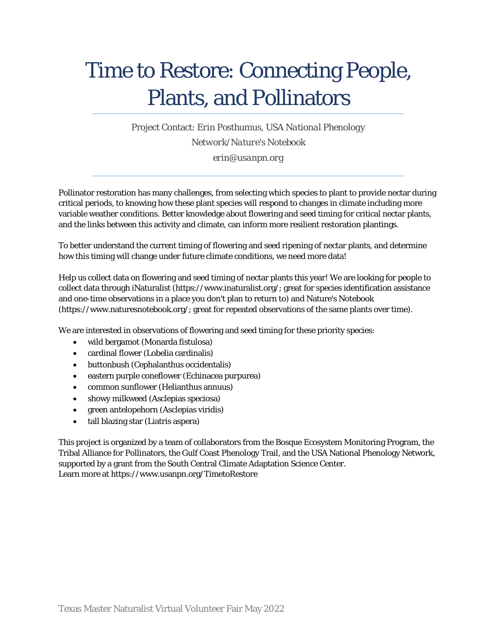## Time to Restore: Connecting People, Plants, and Pollinators

Project Contact: *Erin Posthumus*, *USA National Phenology Network/Nature's Notebook erin@usanpn.org*

Pollinator restoration has many challenges, from selecting which species to plant to provide nectar during critical periods, to knowing how these plant species will respond to changes in climate including more variable weather conditions. Better knowledge about flowering and seed timing for critical nectar plants, and the links between this activity and climate, can inform more resilient restoration plantings.

To better understand the current timing of flowering and seed ripening of nectar plants, and determine how this timing will change under future climate conditions, we need more data!

Help us collect data on flowering and seed timing of nectar plants this year! We are looking for people to collect data through iNaturalist (https://www.inaturalist.org/; great for species identification assistance and one-time observations in a place you don't plan to return to) and Nature's Notebook (https://www.naturesnotebook.org/; great for repeated observations of the same plants over time).

We are interested in observations of flowering and seed timing for these priority species:

- wild bergamot (Monarda fistulosa)
- cardinal flower (Lobelia cardinalis)
- buttonbush (Cephalanthus occidentalis)
- eastern purple coneflower (Echinacea purpurea)
- common sunflower (Helianthus annuus)
- showy milkweed (Asclepias speciosa)
- green antelopehorn (Asclepias viridis)
- tall blazing star (Liatris aspera)

This project is organized by a team of collaborators from the Bosque Ecosystem Monitoring Program, the Tribal Alliance for Pollinators, the Gulf Coast Phenology Trail, and the USA National Phenology Network, supported by a grant from the South Central Climate Adaptation Science Center. Learn more at https://www.usanpn.org/TimetoRestore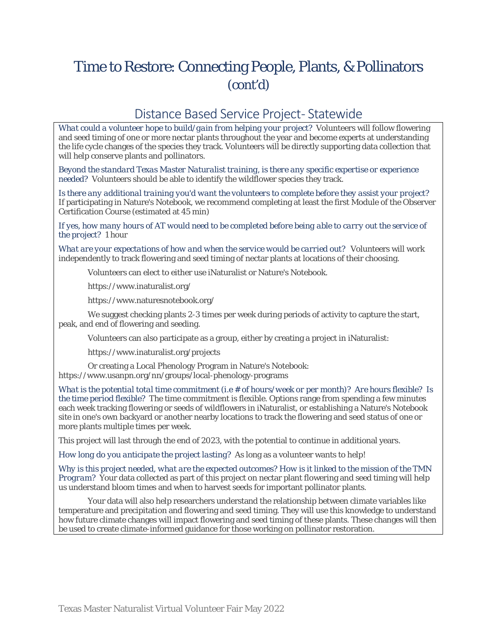### Time to Restore: Connecting People, Plants, & Pollinators (cont'd)

#### Distance Based Service Project-Statewide

*What could a volunteer hope to build/gain from helping your project?* Volunteers will follow flowering and seed timing of one or more nectar plants throughout the year and become experts at understanding the life cycle changes of the species they track. Volunteers will be directly supporting data collection that will help conserve plants and pollinators.

*Beyond the standard Texas Master Naturalist training, is there any specific expertise or experience needed?* Volunteers should be able to identify the wildflower species they track.

*Is there any additional training you'd want the volunteers to complete before they assist your project?*  If participating in Nature's Notebook, we recommend completing at least the first Module of the Observer Certification Course (estimated at 45 min)

*If yes, how many hours of AT would need to be completed before being able to carry out the service of the project?* 1 hour

*What are your expectations of how and when the service would be carried out?* Volunteers will work independently to track flowering and seed timing of nectar plants at locations of their choosing.

Volunteers can elect to either use iNaturalist or Nature's Notebook.

https://www.inaturalist.org/

https://www.naturesnotebook.org/

We suggest checking plants 2-3 times per week during periods of activity to capture the start, peak, and end of flowering and seeding.

Volunteers can also participate as a group, either by creating a project in iNaturalist:

https://www.inaturalist.org/projects

Or creating a Local Phenology Program in Nature's Notebook: https://www.usanpn.org/nn/groups/local-phenology-programs

*What is the potential total time commitment (i.e # of hours/week or per month)? Are hours flexible? Is the time period flexible?* The time commitment is flexible. Options range from spending a few minutes each week tracking flowering or seeds of wildflowers in iNaturalist, or establishing a Nature's Notebook site in one's own backyard or another nearby locations to track the flowering and seed status of one or more plants multiple times per week.

This project will last through the end of 2023, with the potential to continue in additional years.

*How long do you anticipate the project lasting?* As long as a volunteer wants to help!

*Why is this project needed, what are the expected outcomes? How is it linked to the mission of the TMN Program?* Your data collected as part of this project on nectar plant flowering and seed timing will help us understand bloom times and when to harvest seeds for important pollinator plants.

Your data will also help researchers understand the relationship between climate variables like temperature and precipitation and flowering and seed timing. They will use this knowledge to understand how future climate changes will impact flowering and seed timing of these plants. These changes will then be used to create climate-informed guidance for those working on pollinator restoration.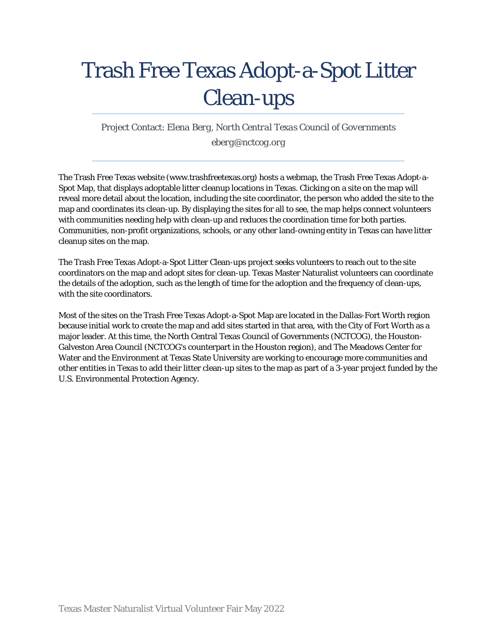## Trash Free Texas Adopt-a-Spot Litter Clean-ups

Project Contact: *Elena Berg*, *North Central Texas Council of Governments eberg@nctcog.org*

The Trash Free Texas website (www.trashfreetexas.org) hosts a webmap, the Trash Free Texas Adopt-a-Spot Map, that displays adoptable litter cleanup locations in Texas. Clicking on a site on the map will reveal more detail about the location, including the site coordinator, the person who added the site to the map and coordinates its clean-up. By displaying the sites for all to see, the map helps connect volunteers with communities needing help with clean-up and reduces the coordination time for both parties. Communities, non-profit organizations, schools, or any other land-owning entity in Texas can have litter cleanup sites on the map.

The Trash Free Texas Adopt-a-Spot Litter Clean-ups project seeks volunteers to reach out to the site coordinators on the map and adopt sites for clean-up. Texas Master Naturalist volunteers can coordinate the details of the adoption, such as the length of time for the adoption and the frequency of clean-ups, with the site coordinators.

Most of the sites on the Trash Free Texas Adopt-a-Spot Map are located in the Dallas-Fort Worth region because initial work to create the map and add sites started in that area, with the City of Fort Worth as a major leader. At this time, the North Central Texas Council of Governments (NCTCOG), the Houston-Galveston Area Council (NCTCOG's counterpart in the Houston region), and The Meadows Center for Water and the Environment at Texas State University are working to encourage more communities and other entities in Texas to add their litter clean-up sites to the map as part of a 3-year project funded by the U.S. Environmental Protection Agency.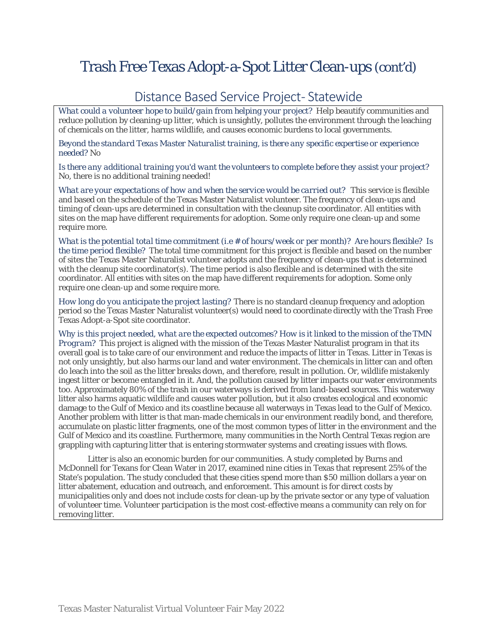### Trash Free Texas Adopt-a-Spot Litter Clean-ups (cont'd)

#### Distance Based Service Project-Statewide

*What could a volunteer hope to build/gain from helping your project?* Help beautify communities and reduce pollution by cleaning-up litter, which is unsightly, pollutes the environment through the leaching of chemicals on the litter, harms wildlife, and causes economic burdens to local governments.

*Beyond the standard Texas Master Naturalist training, is there any specific expertise or experience needed?* No

*Is there any additional training you'd want the volunteers to complete before they assist your project?* No, there is no additional training needed!

*What are your expectations of how and when the service would be carried out?* This service is flexible and based on the schedule of the Texas Master Naturalist volunteer. The frequency of clean-ups and timing of clean-ups are determined in consultation with the cleanup site coordinator. All entities with sites on the map have different requirements for adoption. Some only require one clean-up and some require more.

*What is the potential total time commitment (i.e # of hours/week or per month)? Are hours flexible? Is the time period flexible?* The total time commitment for this project is flexible and based on the number of sites the Texas Master Naturalist volunteer adopts and the frequency of clean-ups that is determined with the cleanup site coordinator(s). The time period is also flexible and is determined with the site coordinator. All entities with sites on the map have different requirements for adoption. Some only require one clean-up and some require more.

*How long do you anticipate the project lasting?* There is no standard cleanup frequency and adoption period so the Texas Master Naturalist volunteer(s) would need to coordinate directly with the Trash Free Texas Adopt-a-Spot site coordinator.

*Why is this project needed, what are the expected outcomes? How is it linked to the mission of the TMN Program?* This project is aligned with the mission of the Texas Master Naturalist program in that its overall goal is to take care of our environment and reduce the impacts of litter in Texas. Litter in Texas is not only unsightly, but also harms our land and water environment. The chemicals in litter can and often do leach into the soil as the litter breaks down, and therefore, result in pollution. Or, wildlife mistakenly ingest litter or become entangled in it. And, the pollution caused by litter impacts our water environments too. Approximately 80% of the trash in our waterways is derived from land-based sources. This waterway litter also harms aquatic wildlife and causes water pollution, but it also creates ecological and economic damage to the Gulf of Mexico and its coastline because all waterways in Texas lead to the Gulf of Mexico. Another problem with litter is that man-made chemicals in our environment readily bond, and therefore, accumulate on plastic litter fragments, one of the most common types of litter in the environment and the Gulf of Mexico and its coastline. Furthermore, many communities in the North Central Texas region are grappling with capturing litter that is entering stormwater systems and creating issues with flows.

Litter is also an economic burden for our communities. A study completed by Burns and McDonnell for Texans for Clean Water in 2017, examined nine cities in Texas that represent 25% of the State's population. The study concluded that these cities spend more than \$50 million dollars a year on litter abatement, education and outreach, and enforcement. This amount is for direct costs by municipalities only and does not include costs for clean-up by the private sector or any type of valuation of volunteer time. Volunteer participation is the most cost-effective means a community can rely on for removing litter.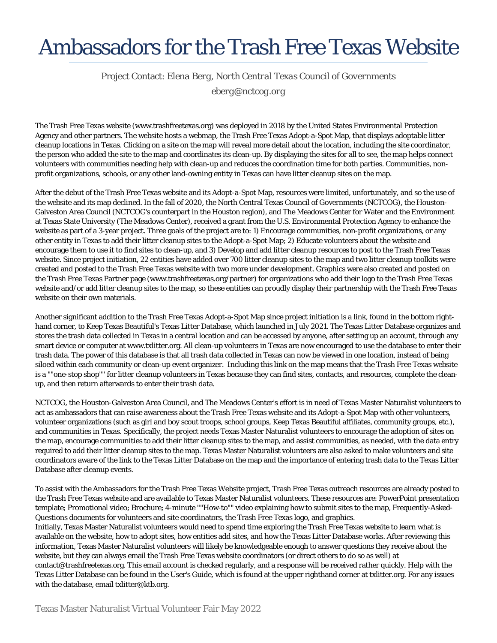### Ambassadors for the Trash Free Texas Website

Project Contact: *Elena Berg*, *North Central Texas Council of Governments*

*eberg@nctcog.org*

The Trash Free Texas website (www.trashfreetexas.org) was deployed in 2018 by the United States Environmental Protection Agency and other partners. The website hosts a webmap, the Trash Free Texas Adopt-a-Spot Map, that displays adoptable litter cleanup locations in Texas. Clicking on a site on the map will reveal more detail about the location, including the site coordinator, the person who added the site to the map and coordinates its clean-up. By displaying the sites for all to see, the map helps connect volunteers with communities needing help with clean-up and reduces the coordination time for both parties. Communities, nonprofit organizations, schools, or any other land-owning entity in Texas can have litter cleanup sites on the map.

After the debut of the Trash Free Texas website and its Adopt-a-Spot Map, resources were limited, unfortunately, and so the use of the website and its map declined. In the fall of 2020, the North Central Texas Council of Governments (NCTCOG), the Houston-Galveston Area Council (NCTCOG's counterpart in the Houston region), and The Meadows Center for Water and the Environment at Texas State University (The Meadows Center), received a grant from the U.S. Environmental Protection Agency to enhance the website as part of a 3-year project. Three goals of the project are to: 1) Encourage communities, non-profit organizations, or any other entity in Texas to add their litter cleanup sites to the Adopt-a-Spot Map; 2) Educate volunteers about the website and encourage them to use it to find sites to clean-up, and 3) Develop and add litter cleanup resources to post to the Trash Free Texas website. Since project initiation, 22 entities have added over 700 litter cleanup sites to the map and two litter cleanup toolkits were created and posted to the Trash Free Texas website with two more under development. Graphics were also created and posted on the Trash Free Texas Partner page (www.trashfreetexas.org/partner) for organizations who add their logo to the Trash Free Texas website and/or add litter cleanup sites to the map, so these entities can proudly display their partnership with the Trash Free Texas website on their own materials.

Another significant addition to the Trash Free Texas Adopt-a-Spot Map since project initiation is a link, found in the bottom righthand corner, to Keep Texas Beautiful's Texas Litter Database, which launched in July 2021. The Texas Litter Database organizes and stores the trash data collected in Texas in a central location and can be accessed by anyone, after setting up an account, through any smart device or computer at www.txlitter.org. All clean-up volunteers in Texas are now encouraged to use the database to enter their trash data. The power of this database is that all trash data collected in Texas can now be viewed in one location, instead of being siloed within each community or clean-up event organizer. Including this link on the map means that the Trash Free Texas website is a ""one-stop shop"" for litter cleanup volunteers in Texas because they can find sites, contacts, and resources, complete the cleanup, and then return afterwards to enter their trash data.

NCTCOG, the Houston-Galveston Area Council, and The Meadows Center's effort is in need of Texas Master Naturalist volunteers to act as ambassadors that can raise awareness about the Trash Free Texas website and its Adopt-a-Spot Map with other volunteers, volunteer organizations (such as girl and boy scout troops, school groups, Keep Texas Beautiful affiliates, community groups, etc.), and communities in Texas. Specifically, the project needs Texas Master Naturalist volunteers to encourage the adoption of sites on the map, encourage communities to add their litter cleanup sites to the map, and assist communities, as needed, with the data entry required to add their litter cleanup sites to the map. Texas Master Naturalist volunteers are also asked to make volunteers and site coordinators aware of the link to the Texas Litter Database on the map and the importance of entering trash data to the Texas Litter Database after cleanup events.

To assist with the Ambassadors for the Trash Free Texas Website project, Trash Free Texas outreach resources are already posted to the Trash Free Texas website and are available to Texas Master Naturalist volunteers. These resources are: PowerPoint presentation template; Promotional video; Brochure; 4-minute ""How-to"" video explaining how to submit sites to the map, Frequently-Asked-Questions documents for volunteers and site coordinators, the Trash Free Texas logo, and graphics.

Initially, Texas Master Naturalist volunteers would need to spend time exploring the Trash Free Texas website to learn what is available on the website, how to adopt sites, how entities add sites, and how the Texas Litter Database works. After reviewing this information, Texas Master Naturalist volunteers will likely be knowledgeable enough to answer questions they receive about the website, but they can always email the Trash Free Texas website coordinators (or direct others to do so as well) at contact@trashfreetexas.org. This email account is checked regularly, and a response will be received rather quickly. Help with the Texas Litter Database can be found in the User's Guide, which is found at the upper righthand corner at txlitter.org. For any issues with the database, email txlitter@ktb.org.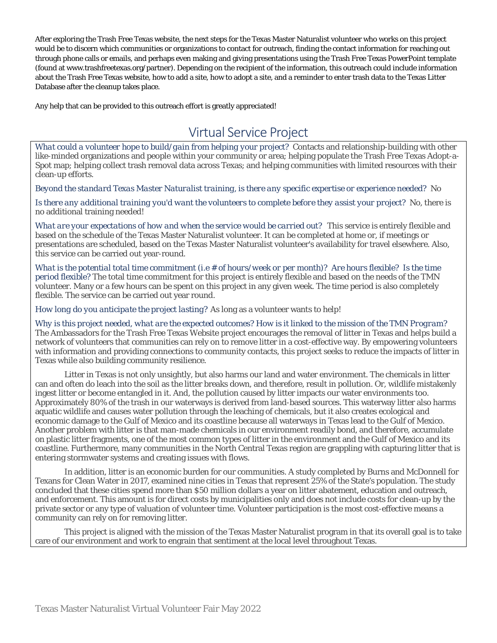After exploring the Trash Free Texas website, the next steps for the Texas Master Naturalist volunteer who works on this project would be to discern which communities or organizations to contact for outreach, finding the contact information for reaching out through phone calls or emails, and perhaps even making and giving presentations using the Trash Free Texas PowerPoint template (found at www.trashfreetexas.org/partner). Depending on the recipient of the information, this outreach could include information about the Trash Free Texas website, how to add a site, how to adopt a site, and a reminder to enter trash data to the Texas Litter Database after the cleanup takes place.

Any help that can be provided to this outreach effort is greatly appreciated!

#### Virtual Service Project

*What could a volunteer hope to build/gain from helping your project?* Contacts and relationship-building with other like-minded organizations and people within your community or area; helping populate the Trash Free Texas Adopt-a-Spot map; helping collect trash removal data across Texas; and helping communities with limited resources with their clean-up efforts.

*Beyond the standard Texas Master Naturalist training, is there any specific expertise or experience needed?* No

*Is there any additional training you'd want the volunteers to complete before they assist your project?* No, there is no additional training needed!

*What are your expectations of how and when the service would be carried out?* This service is entirely flexible and based on the schedule of the Texas Master Naturalist volunteer. It can be completed at home or, if meetings or presentations are scheduled, based on the Texas Master Naturalist volunteer's availability for travel elsewhere. Also, this service can be carried out year-round.

*What is the potential total time commitment (i.e # of hours/week or per month)? Are hours flexible? Is the time period flexible?* The total time commitment for this project is entirely flexible and based on the needs of the TMN volunteer. Many or a few hours can be spent on this project in any given week. The time period is also completely flexible. The service can be carried out year round.

*How long do you anticipate the project lasting?* As long as a volunteer wants to help!

*Why is this project needed, what are the expected outcomes? How is it linked to the mission of the TMN Program?* The Ambassadors for the Trash Free Texas Website project encourages the removal of litter in Texas and helps build a network of volunteers that communities can rely on to remove litter in a cost-effective way. By empowering volunteers with information and providing connections to community contacts, this project seeks to reduce the impacts of litter in Texas while also building community resilience.

Litter in Texas is not only unsightly, but also harms our land and water environment. The chemicals in litter can and often do leach into the soil as the litter breaks down, and therefore, result in pollution. Or, wildlife mistakenly ingest litter or become entangled in it. And, the pollution caused by litter impacts our water environments too. Approximately 80% of the trash in our waterways is derived from land-based sources. This waterway litter also harms aquatic wildlife and causes water pollution through the leaching of chemicals, but it also creates ecological and economic damage to the Gulf of Mexico and its coastline because all waterways in Texas lead to the Gulf of Mexico. Another problem with litter is that man-made chemicals in our environment readily bond, and therefore, accumulate on plastic litter fragments, one of the most common types of litter in the environment and the Gulf of Mexico and its coastline. Furthermore, many communities in the North Central Texas region are grappling with capturing litter that is entering stormwater systems and creating issues with flows.

In addition, litter is an economic burden for our communities. A study completed by Burns and McDonnell for Texans for Clean Water in 2017, examined nine cities in Texas that represent 25% of the State's population. The study concluded that these cities spend more than \$50 million dollars a year on litter abatement, education and outreach, and enforcement. This amount is for direct costs by municipalities only and does not include costs for clean-up by the private sector or any type of valuation of volunteer time. Volunteer participation is the most cost-effective means a community can rely on for removing litter.

This project is aligned with the mission of the Texas Master Naturalist program in that its overall goal is to take care of our environment and work to engrain that sentiment at the local level throughout Texas.